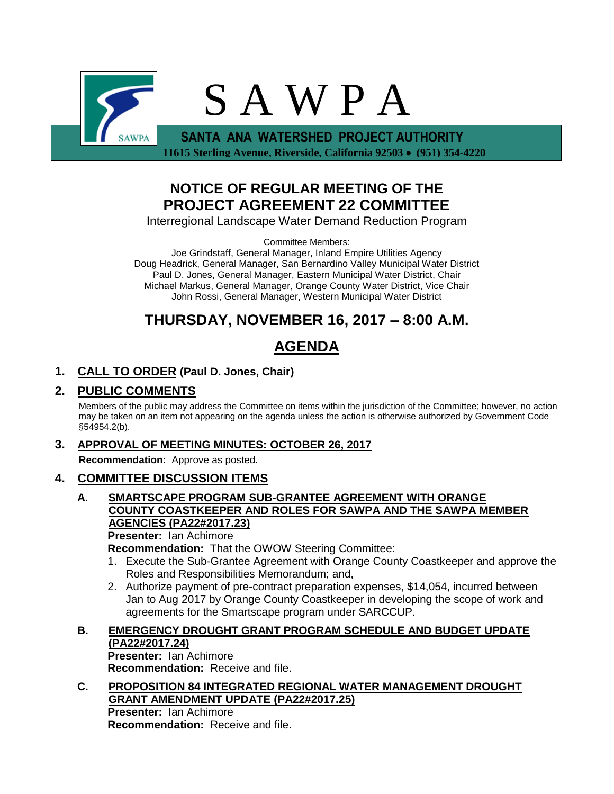

**NOTICE OF REGULAR MEETING OF THE PROJECT AGREEMENT 22 COMMITTEE**

Interregional Landscape Water Demand Reduction Program

Committee Members:

Joe Grindstaff, General Manager, Inland Empire Utilities Agency Doug Headrick, General Manager, San Bernardino Valley Municipal Water District Paul D. Jones, General Manager, Eastern Municipal Water District, Chair Michael Markus, General Manager, Orange County Water District, Vice Chair John Rossi, General Manager, Western Municipal Water District

# **THURSDAY, NOVEMBER 16, 2017 – 8:00 A.M.**

# **AGENDA**

# **1. CALL TO ORDER (Paul D. Jones, Chair)**

## **2. PUBLIC COMMENTS**

Members of the public may address the Committee on items within the jurisdiction of the Committee; however, no action may be taken on an item not appearing on the agenda unless the action is otherwise authorized by Government Code §54954.2(b).

### **3. APPROVAL OF MEETING MINUTES: OCTOBER 26, 2017**

**Recommendation:** Approve as posted.

### **4. COMMITTEE DISCUSSION ITEMS**

## **A. SMARTSCAPE PROGRAM SUB-GRANTEE AGREEMENT WITH ORANGE COUNTY COASTKEEPER AND ROLES FOR SAWPA AND THE SAWPA MEMBER AGENCIES (PA22#2017.23)**

**Presenter:** Ian Achimore

**Recommendation:** That the OWOW Steering Committee:

- 1. Execute the Sub-Grantee Agreement with Orange County Coastkeeper and approve the Roles and Responsibilities Memorandum; and,
- 2. Authorize payment of pre-contract preparation expenses, \$14,054, incurred between Jan to Aug 2017 by Orange County Coastkeeper in developing the scope of work and agreements for the Smartscape program under SARCCUP.

## **B. EMERGENCY DROUGHT GRANT PROGRAM SCHEDULE AND BUDGET UPDATE (PA22#2017.24) Presenter:** Ian Achimore

**Recommendation:** Receive and file.

#### **C. PROPOSITION 84 INTEGRATED REGIONAL WATER MANAGEMENT DROUGHT GRANT AMENDMENT UPDATE (PA22#2017.25)**

**Presenter:** Ian Achimore **Recommendation:** Receive and file.